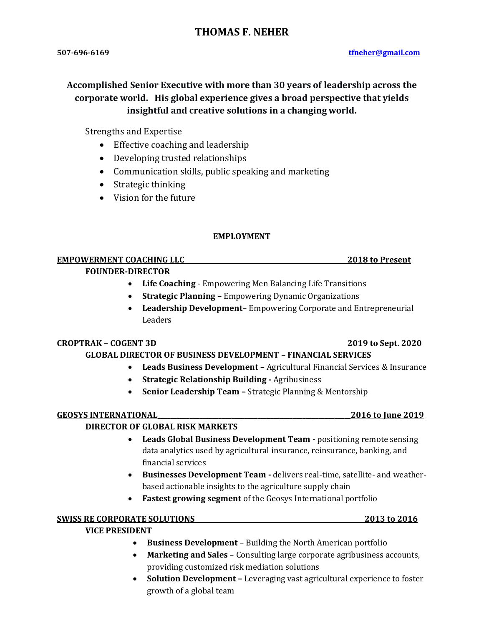# **THOMAS F. NEHER**

# **Accomplished Senior Executive with more than 30 years of leadership across the corporate world. His global experience gives a broad perspective that yields insightful and creative solutions in a changing world.**

Strengths and Expertise

- Effective coaching and leadership
- Developing trusted relationships
- Communication skills, public speaking and marketing
- Strategic thinking
- Vision for the future

# **EMPLOYMENT**

# **EMPOWERMENT COACHING LLC 2018 to Present**

# **FOUNDER-DIRECTOR**

- **Life Coaching** Empowering Men Balancing Life Transitions
- **Strategic Planning** Empowering Dynamic Organizations
- **Leadership Development** Empowering Corporate and Entrepreneurial Leaders

# **CROPTRAK – COGENT 3D 2019 to Sept. 2020**

# **GLOBAL DIRECTOR OF BUSINESS DEVELOPMENT – FINANCIAL SERVICES**

- **Leads Business Development –** Agricultural Financial Services & Insurance
- **Strategic Relationship Building -** Agribusiness
- **Senior Leadership Team –** Strategic Planning & Mentorship

# **GEOSYS INTERNATIONAL\_\_\_\_\_\_\_\_\_\_\_\_\_\_\_\_\_\_\_\_\_\_\_\_\_\_\_\_\_\_\_\_\_\_\_\_\_\_\_\_\_\_\_\_\_\_\_\_\_\_\_\_\_\_\_\_\_\_\_\_2016 to June 2019**

# **DIRECTOR OF GLOBAL RISK MARKETS**

- **Leads Global Business Development Team -** positioning remote sensing data analytics used by agricultural insurance, reinsurance, banking, and financial services
- **Businesses Development Team -** delivers real-time, satellite- and weatherbased actionable insights to the agriculture supply chain
- **Fastest growing segment** of the Geosys International portfolio

# **SWISS RE CORPORATE SOLUTIONS 2013 to 2016**

# **VICE PRESIDENT**

- **Business Development**  Building the North American portfolio
- **Marketing and Sales**  Consulting large corporate agribusiness accounts, providing customized risk mediation solutions
- **Solution Development –** Leveraging vast agricultural experience to foster growth of a global team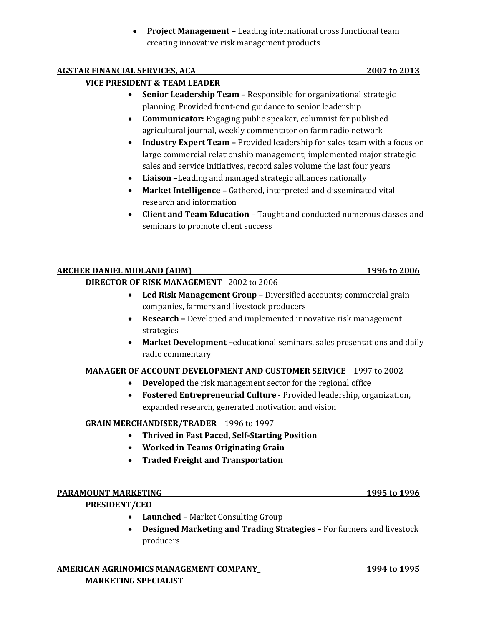• **Project Management** – Leading international cross functional team creating innovative risk management products

# **AGSTAR FINANCIAL SERVICES, ACA 2007 to 2013**

# **VICE PRESIDENT & TEAM LEADER**

- **Senior Leadership Team**  Responsible for organizational strategic planning. Provided front-end guidance to senior leadership
- **Communicator:** Engaging public speaker, columnist for published agricultural journal, weekly commentator on farm radio network
- **Industry Expert Team –** Provided leadership for sales team with a focus on large commercial relationship management; implemented major strategic sales and service initiatives, record sales volume the last four years
- **Liaison** –Leading and managed strategic alliances nationally
- **Market Intelligence**  Gathered, interpreted and disseminated vital research and information
- **Client and Team Education**  Taught and conducted numerous classes and seminars to promote client success

# **ARCHER DANIEL MIDLAND (ADM) 1996 to 2006**

# **DIRECTOR OF RISK MANAGEMENT** 2002 to 2006

- **Led Risk Management Group**  Diversified accounts; commercial grain companies, farmers and livestock producers
- **Research –** Developed and implemented innovative risk management strategies
- **Market Development –**educational seminars, sales presentations and daily radio commentary

# **MANAGER OF ACCOUNT DEVELOPMENT AND CUSTOMER SERVICE** 1997 to 2002

- **Developed** the risk management sector for the regional office
- **Fostered Entrepreneurial Culture** Provided leadership, organization, expanded research, generated motivation and vision

# **GRAIN MERCHANDISER/TRADER** 1996 to 1997

- **Thrived in Fast Paced, Self-Starting Position**
- **Worked in Teams Originating Grain**
- **Traded Freight and Transportation**

# **PARAMOUNT MARKETING 1995 to 1996**

# **PRESIDENT/CEO**

- **Launched**  Market Consulting Group
- **Designed Marketing and Trading Strategies** For farmers and livestock producers

# **AMERICAN AGRINOMICS MANAGEMENT COMPANY\_ 1994 to 1995 MARKETING SPECIALIST**